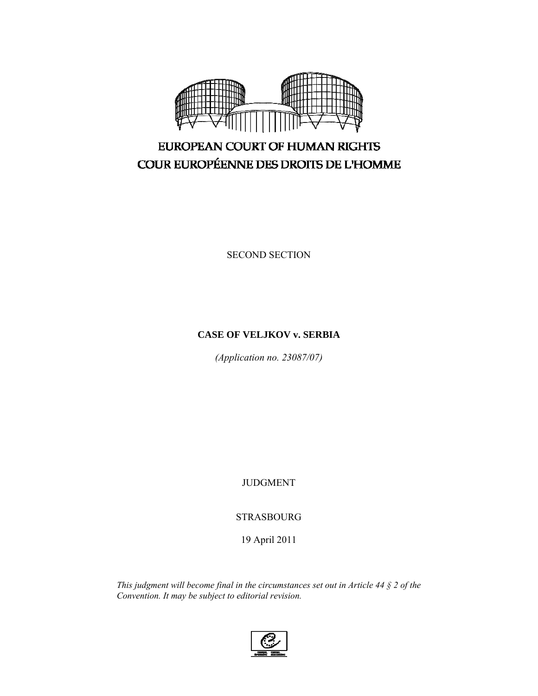

# EUROPEAN COURT OF HUMAN RIGHTS COUR EUROPÉENNE DES DROITS DE L'HOMME

SECOND SECTION

## **CASE OF VELJKOV v. SERBIA**

*(Application no. 23087/07)* 

JUDGMENT

STRASBOURG

19 April 2011

*This judgment will become final in the circumstances set out in Article 44 § 2 of the Convention. It may be subject to editorial revision.* 

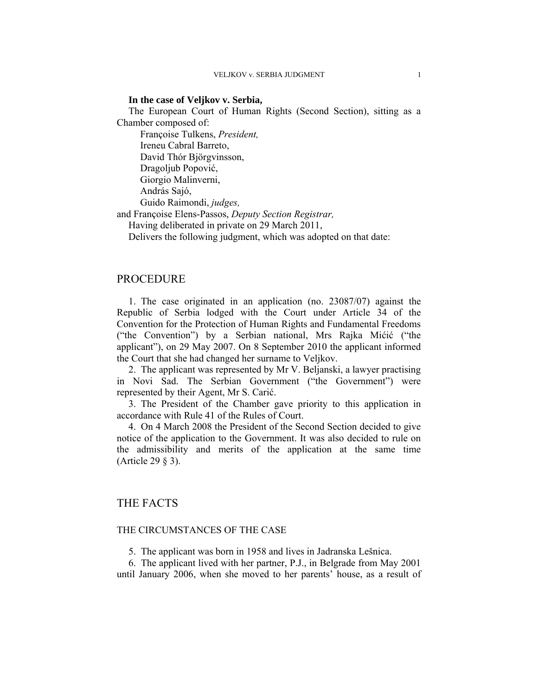#### **In the case of Veljkov v. Serbia,**

The European Court of Human Rights (Second Section), sitting as a Chamber composed of:

 Françoise Tulkens, *President,*  Ireneu Cabral Barreto, David Thór Björgvinsson, Dragoljub Popović, Giorgio Malinverni, András Sajó, Guido Raimondi, *judges,* 

and Françoise Elens-Passos, *Deputy Section Registrar,*

Having deliberated in private on 29 March 2011,

Delivers the following judgment, which was adopted on that date:

#### PROCEDURE

1. The case originated in an application (no. 23087/07) against the Republic of Serbia lodged with the Court under Article 34 of the Convention for the Protection of Human Rights and Fundamental Freedoms ("the Convention") by a Serbian national, Mrs Rajka Mićić ("the applicant"), on 29 May 2007. On 8 September 2010 the applicant informed the Court that she had changed her surname to Veljkov.

2. The applicant was represented by Mr V. Beljanski, a lawyer practising in Novi Sad. The Serbian Government ("the Government") were represented by their Agent, Mr S. Carić.

3. The President of the Chamber gave priority to this application in accordance with Rule 41 of the Rules of Court.

4. On 4 March 2008 the President of the Second Section decided to give notice of the application to the Government. It was also decided to rule on the admissibility and merits of the application at the same time (Article 29 § 3).

## THE FACTS

#### THE CIRCUMSTANCES OF THE CASE

5. The applicant was born in 1958 and lives in Jadranska Lešnica.

6. The applicant lived with her partner, P.J., in Belgrade from May 2001 until January 2006, when she moved to her parents' house, as a result of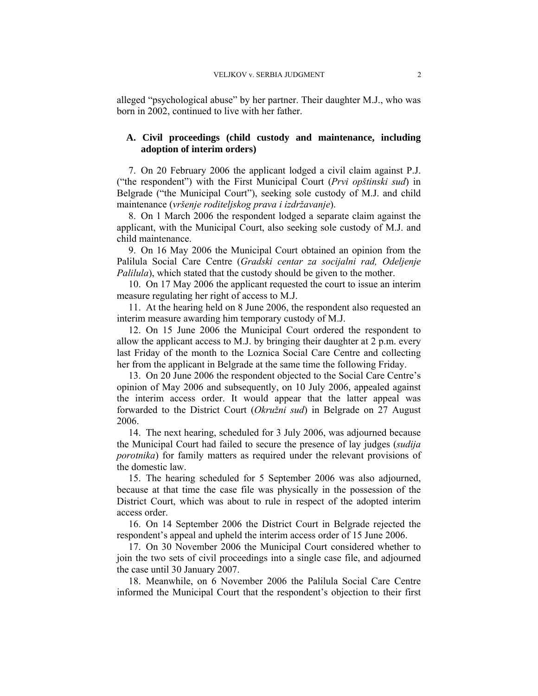alleged "psychological abuse" by her partner. Their daughter M.J., who was born in 2002, continued to live with her father.

## **A. Civil proceedings (child custody and maintenance, including adoption of interim orders)**

7. On 20 February 2006 the applicant lodged a civil claim against P.J. ("the respondent") with the First Municipal Court (*Prvi opštinski sud*) in Belgrade ("the Municipal Court"), seeking sole custody of M.J. and child maintenance (*vršenje roditeljskog prava i izdržavanje*).

8. On 1 March 2006 the respondent lodged a separate claim against the applicant, with the Municipal Court, also seeking sole custody of M.J. and child maintenance.

9. On 16 May 2006 the Municipal Court obtained an opinion from the Palilula Social Care Centre (*Gradski centar za socijalni rad, Odeljenje Palilula*), which stated that the custody should be given to the mother.

10. On 17 May 2006 the applicant requested the court to issue an interim measure regulating her right of access to M.J.

11. At the hearing held on 8 June 2006, the respondent also requested an interim measure awarding him temporary custody of M.J.

12. On 15 June 2006 the Municipal Court ordered the respondent to allow the applicant access to M.J. by bringing their daughter at 2 p.m. every last Friday of the month to the Loznica Social Care Centre and collecting her from the applicant in Belgrade at the same time the following Friday.

13. On 20 June 2006 the respondent objected to the Social Care Centre's opinion of May 2006 and subsequently, on 10 July 2006, appealed against the interim access order. It would appear that the latter appeal was forwarded to the District Court (*Okružni sud*) in Belgrade on 27 August 2006.

14. The next hearing, scheduled for 3 July 2006, was adjourned because the Municipal Court had failed to secure the presence of lay judges (*sudija porotnika*) for family matters as required under the relevant provisions of the domestic law.

15. The hearing scheduled for 5 September 2006 was also adjourned, because at that time the case file was physically in the possession of the District Court, which was about to rule in respect of the adopted interim access order.

16. On 14 September 2006 the District Court in Belgrade rejected the respondent's appeal and upheld the interim access order of 15 June 2006.

17. On 30 November 2006 the Municipal Court considered whether to join the two sets of civil proceedings into a single case file, and adjourned the case until 30 January 2007.

18. Meanwhile, on 6 November 2006 the Palilula Social Care Centre informed the Municipal Court that the respondent's objection to their first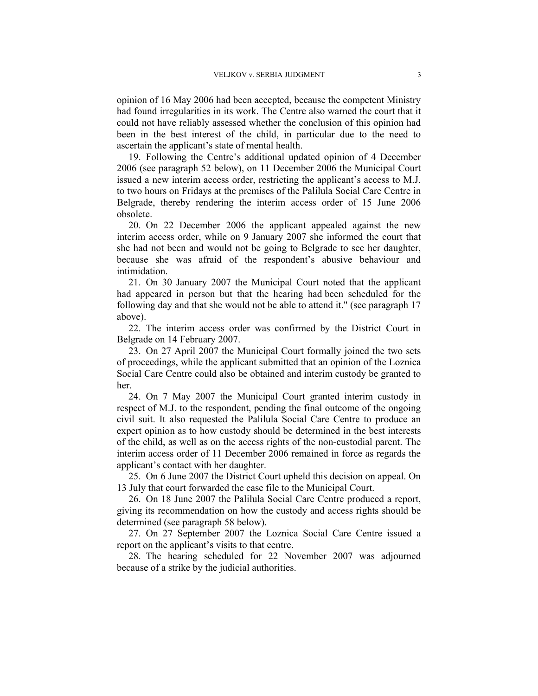opinion of 16 May 2006 had been accepted, because the competent Ministry had found irregularities in its work. The Centre also warned the court that it could not have reliably assessed whether the conclusion of this opinion had been in the best interest of the child, in particular due to the need to ascertain the applicant's state of mental health.

19. Following the Centre's additional updated opinion of 4 December 2006 (see paragraph 52 below), on 11 December 2006 the Municipal Court issued a new interim access order, restricting the applicant's access to M.J. to two hours on Fridays at the premises of the Palilula Social Care Centre in Belgrade, thereby rendering the interim access order of 15 June 2006 obsolete.

20. On 22 December 2006 the applicant appealed against the new interim access order, while on 9 January 2007 she informed the court that she had not been and would not be going to Belgrade to see her daughter, because she was afraid of the respondent's abusive behaviour and intimidation.

21. On 30 January 2007 the Municipal Court noted that the applicant had appeared in person but that the hearing had been scheduled for the following day and that she would not be able to attend it." (see paragraph 17 above).

22. The interim access order was confirmed by the District Court in Belgrade on 14 February 2007.

23. On 27 April 2007 the Municipal Court formally joined the two sets of proceedings, while the applicant submitted that an opinion of the Loznica Social Care Centre could also be obtained and interim custody be granted to her.

24. On 7 May 2007 the Municipal Court granted interim custody in respect of M.J. to the respondent, pending the final outcome of the ongoing civil suit. It also requested the Palilula Social Care Centre to produce an expert opinion as to how custody should be determined in the best interests of the child, as well as on the access rights of the non-custodial parent. The interim access order of 11 December 2006 remained in force as regards the applicant's contact with her daughter.

25. On 6 June 2007 the District Court upheld this decision on appeal. On 13 July that court forwarded the case file to the Municipal Court.

26. On 18 June 2007 the Palilula Social Care Centre produced a report, giving its recommendation on how the custody and access rights should be determined (see paragraph 58 below).

27. On 27 September 2007 the Loznica Social Care Centre issued a report on the applicant's visits to that centre.

28. The hearing scheduled for 22 November 2007 was adjourned because of a strike by the judicial authorities.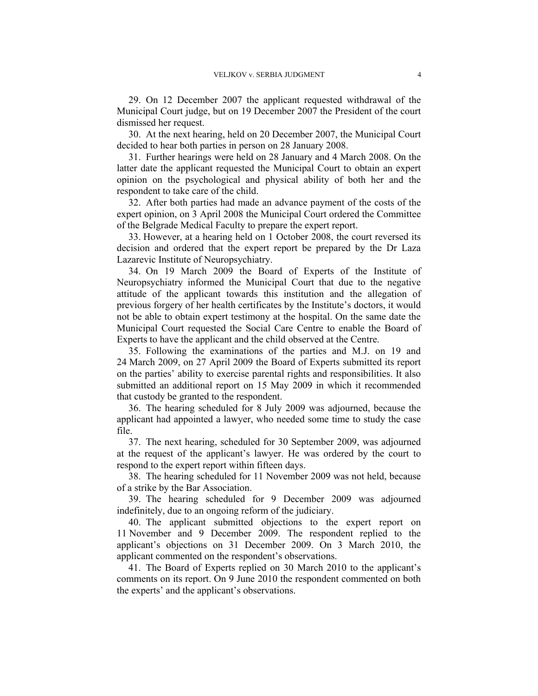29. On 12 December 2007 the applicant requested withdrawal of the Municipal Court judge, but on 19 December 2007 the President of the court dismissed her request.

30. At the next hearing, held on 20 December 2007, the Municipal Court decided to hear both parties in person on 28 January 2008.

31. Further hearings were held on 28 January and 4 March 2008. On the latter date the applicant requested the Municipal Court to obtain an expert opinion on the psychological and physical ability of both her and the respondent to take care of the child.

32. After both parties had made an advance payment of the costs of the expert opinion, on 3 April 2008 the Municipal Court ordered the Committee of the Belgrade Medical Faculty to prepare the expert report.

33. However, at a hearing held on 1 October 2008, the court reversed its decision and ordered that the expert report be prepared by the Dr Laza Lazarevic Institute of Neuropsychiatry.

34. On 19 March 2009 the Board of Experts of the Institute of Neuropsychiatry informed the Municipal Court that due to the negative attitude of the applicant towards this institution and the allegation of previous forgery of her health certificates by the Institute's doctors, it would not be able to obtain expert testimony at the hospital. On the same date the Municipal Court requested the Social Care Centre to enable the Board of Experts to have the applicant and the child observed at the Centre.

35. Following the examinations of the parties and M.J. on 19 and 24 March 2009, on 27 April 2009 the Board of Experts submitted its report on the parties' ability to exercise parental rights and responsibilities. It also submitted an additional report on 15 May 2009 in which it recommended that custody be granted to the respondent.

36. The hearing scheduled for 8 July 2009 was adjourned, because the applicant had appointed a lawyer, who needed some time to study the case file.

37. The next hearing, scheduled for 30 September 2009, was adjourned at the request of the applicant's lawyer. He was ordered by the court to respond to the expert report within fifteen days.

38. The hearing scheduled for 11 November 2009 was not held, because of a strike by the Bar Association.

39. The hearing scheduled for 9 December 2009 was adjourned indefinitely, due to an ongoing reform of the judiciary.

40. The applicant submitted objections to the expert report on 11 November and 9 December 2009. The respondent replied to the applicant's objections on 31 December 2009. On 3 March 2010, the applicant commented on the respondent's observations.

41. The Board of Experts replied on 30 March 2010 to the applicant's comments on its report. On 9 June 2010 the respondent commented on both the experts' and the applicant's observations.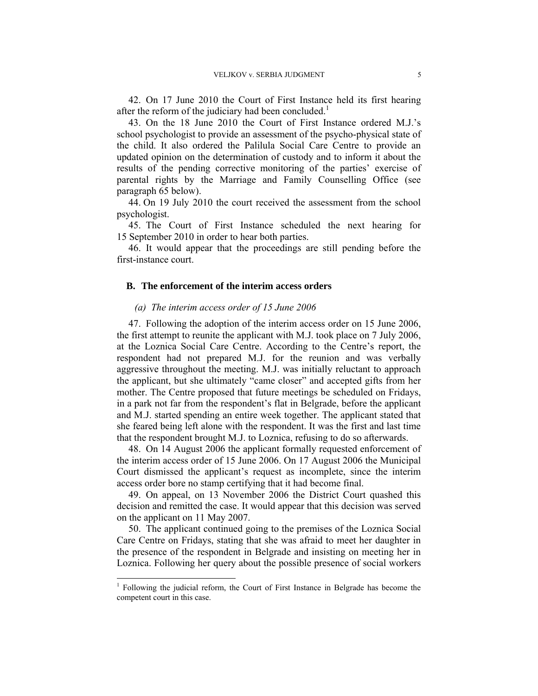42. On 17 June 2010 the Court of First Instance held its first hearing after the reform of the judiciary had been concluded.<sup>1</sup>

43. On the 18 June 2010 the Court of First Instance ordered M.J.'s school psychologist to provide an assessment of the psycho-physical state of the child. It also ordered the Palilula Social Care Centre to provide an updated opinion on the determination of custody and to inform it about the results of the pending corrective monitoring of the parties' exercise of parental rights by the Marriage and Family Counselling Office (see paragraph 65 below).

44. On 19 July 2010 the court received the assessment from the school psychologist.

45. The Court of First Instance scheduled the next hearing for 15 September 2010 in order to hear both parties.

46. It would appear that the proceedings are still pending before the first-instance court.

## **B. The enforcement of the interim access orders**

#### *(a) The interim access order of 15 June 2006*

47. Following the adoption of the interim access order on 15 June 2006, the first attempt to reunite the applicant with M.J. took place on 7 July 2006, at the Loznica Social Care Centre. According to the Centre's report, the respondent had not prepared M.J. for the reunion and was verbally aggressive throughout the meeting. M.J. was initially reluctant to approach the applicant, but she ultimately "came closer" and accepted gifts from her mother. The Centre proposed that future meetings be scheduled on Fridays, in a park not far from the respondent's flat in Belgrade, before the applicant and M.J. started spending an entire week together. The applicant stated that she feared being left alone with the respondent. It was the first and last time that the respondent brought M.J. to Loznica, refusing to do so afterwards.

48. On 14 August 2006 the applicant formally requested enforcement of the interim access order of 15 June 2006. On 17 August 2006 the Municipal Court dismissed the applicant's request as incomplete, since the interim access order bore no stamp certifying that it had become final.

49. On appeal, on 13 November 2006 the District Court quashed this decision and remitted the case. It would appear that this decision was served on the applicant on 11 May 2007.

50. The applicant continued going to the premises of the Loznica Social Care Centre on Fridays, stating that she was afraid to meet her daughter in the presence of the respondent in Belgrade and insisting on meeting her in Loznica. Following her query about the possible presence of social workers

<sup>1</sup> Following the judicial reform, the Court of First Instance in Belgrade has become the competent court in this case.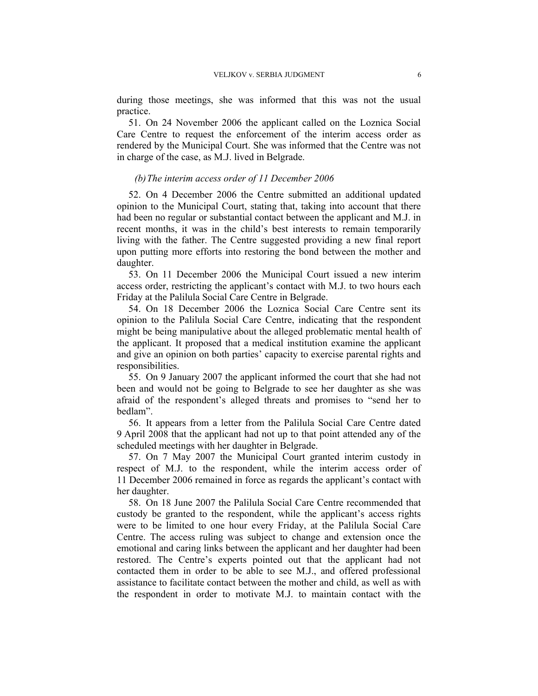during those meetings, she was informed that this was not the usual practice.

51. On 24 November 2006 the applicant called on the Loznica Social Care Centre to request the enforcement of the interim access order as rendered by the Municipal Court. She was informed that the Centre was not in charge of the case, as M.J. lived in Belgrade.

#### *(b)The interim access order of 11 December 2006*

52. On 4 December 2006 the Centre submitted an additional updated opinion to the Municipal Court, stating that, taking into account that there had been no regular or substantial contact between the applicant and M.J. in recent months, it was in the child's best interests to remain temporarily living with the father. The Centre suggested providing a new final report upon putting more efforts into restoring the bond between the mother and daughter.

53. On 11 December 2006 the Municipal Court issued a new interim access order, restricting the applicant's contact with M.J. to two hours each Friday at the Palilula Social Care Centre in Belgrade.

54. On 18 December 2006 the Loznica Social Care Centre sent its opinion to the Palilula Social Care Centre, indicating that the respondent might be being manipulative about the alleged problematic mental health of the applicant. It proposed that a medical institution examine the applicant and give an opinion on both parties' capacity to exercise parental rights and responsibilities.

55. On 9 January 2007 the applicant informed the court that she had not been and would not be going to Belgrade to see her daughter as she was afraid of the respondent's alleged threats and promises to "send her to bedlam".

56. It appears from a letter from the Palilula Social Care Centre dated 9 April 2008 that the applicant had not up to that point attended any of the scheduled meetings with her daughter in Belgrade.

57. On 7 May 2007 the Municipal Court granted interim custody in respect of M.J. to the respondent, while the interim access order of 11 December 2006 remained in force as regards the applicant's contact with her daughter.

58. On 18 June 2007 the Palilula Social Care Centre recommended that custody be granted to the respondent, while the applicant's access rights were to be limited to one hour every Friday, at the Palilula Social Care Centre. The access ruling was subject to change and extension once the emotional and caring links between the applicant and her daughter had been restored. The Centre's experts pointed out that the applicant had not contacted them in order to be able to see M.J., and offered professional assistance to facilitate contact between the mother and child, as well as with the respondent in order to motivate M.J. to maintain contact with the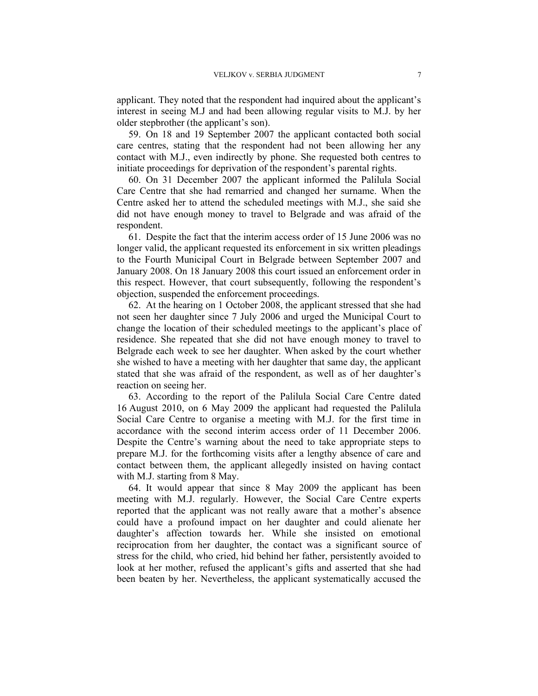applicant. They noted that the respondent had inquired about the applicant's interest in seeing M.J and had been allowing regular visits to M.J. by her older stepbrother (the applicant's son).

59. On 18 and 19 September 2007 the applicant contacted both social care centres, stating that the respondent had not been allowing her any contact with M.J., even indirectly by phone. She requested both centres to initiate proceedings for deprivation of the respondent's parental rights.

60. On 31 December 2007 the applicant informed the Palilula Social Care Centre that she had remarried and changed her surname. When the Centre asked her to attend the scheduled meetings with M.J., she said she did not have enough money to travel to Belgrade and was afraid of the respondent.

61. Despite the fact that the interim access order of 15 June 2006 was no longer valid, the applicant requested its enforcement in six written pleadings to the Fourth Municipal Court in Belgrade between September 2007 and January 2008. On 18 January 2008 this court issued an enforcement order in this respect. However, that court subsequently, following the respondent's objection, suspended the enforcement proceedings.

62. At the hearing on 1 October 2008, the applicant stressed that she had not seen her daughter since 7 July 2006 and urged the Municipal Court to change the location of their scheduled meetings to the applicant's place of residence. She repeated that she did not have enough money to travel to Belgrade each week to see her daughter. When asked by the court whether she wished to have a meeting with her daughter that same day, the applicant stated that she was afraid of the respondent, as well as of her daughter's reaction on seeing her.

63. According to the report of the Palilula Social Care Centre dated 16 August 2010, on 6 May 2009 the applicant had requested the Palilula Social Care Centre to organise a meeting with M.J. for the first time in accordance with the second interim access order of 11 December 2006. Despite the Centre's warning about the need to take appropriate steps to prepare M.J. for the forthcoming visits after a lengthy absence of care and contact between them, the applicant allegedly insisted on having contact with M.J. starting from 8 May.

64. It would appear that since 8 May 2009 the applicant has been meeting with M.J. regularly. However, the Social Care Centre experts reported that the applicant was not really aware that a mother's absence could have a profound impact on her daughter and could alienate her daughter's affection towards her. While she insisted on emotional reciprocation from her daughter, the contact was a significant source of stress for the child, who cried, hid behind her father, persistently avoided to look at her mother, refused the applicant's gifts and asserted that she had been beaten by her. Nevertheless, the applicant systematically accused the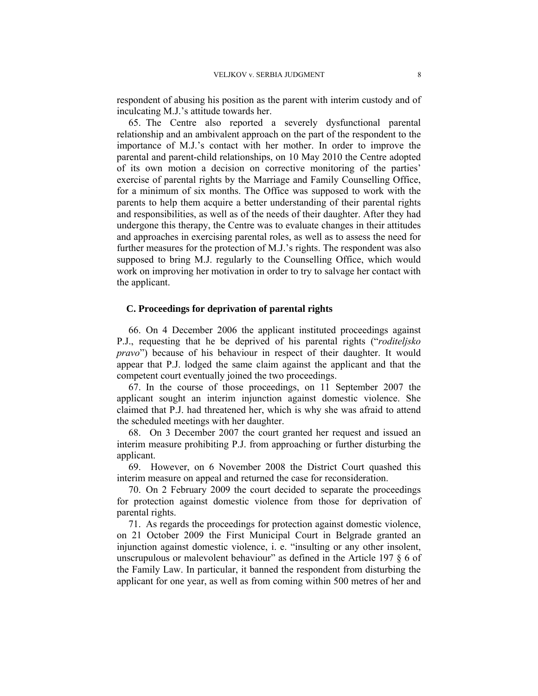respondent of abusing his position as the parent with interim custody and of inculcating M.J.'s attitude towards her.

65. The Centre also reported a severely dysfunctional parental relationship and an ambivalent approach on the part of the respondent to the importance of M.J.'s contact with her mother. In order to improve the parental and parent-child relationships, on 10 May 2010 the Centre adopted of its own motion a decision on corrective monitoring of the parties' exercise of parental rights by the Marriage and Family Counselling Office, for a minimum of six months. The Office was supposed to work with the parents to help them acquire a better understanding of their parental rights and responsibilities, as well as of the needs of their daughter. After they had undergone this therapy, the Centre was to evaluate changes in their attitudes and approaches in exercising parental roles, as well as to assess the need for further measures for the protection of M.J.'s rights. The respondent was also supposed to bring M.J. regularly to the Counselling Office, which would work on improving her motivation in order to try to salvage her contact with the applicant.

## **C. Proceedings for deprivation of parental rights**

66. On 4 December 2006 the applicant instituted proceedings against P.J., requesting that he be deprived of his parental rights ("*roditeljsko pravo*") because of his behaviour in respect of their daughter. It would appear that P.J. lodged the same claim against the applicant and that the competent court eventually joined the two proceedings.

67. In the course of those proceedings, on 11 September 2007 the applicant sought an interim injunction against domestic violence. She claimed that P.J. had threatened her, which is why she was afraid to attend the scheduled meetings with her daughter.

68. On 3 December 2007 the court granted her request and issued an interim measure prohibiting P.J. from approaching or further disturbing the applicant.

69. However, on 6 November 2008 the District Court quashed this interim measure on appeal and returned the case for reconsideration.

70. On 2 February 2009 the court decided to separate the proceedings for protection against domestic violence from those for deprivation of parental rights.

71. As regards the proceedings for protection against domestic violence, on 21 October 2009 the First Municipal Court in Belgrade granted an injunction against domestic violence, i. e. "insulting or any other insolent, unscrupulous or malevolent behaviour" as defined in the Article 197  $\S$  6 of the Family Law. In particular, it banned the respondent from disturbing the applicant for one year, as well as from coming within 500 metres of her and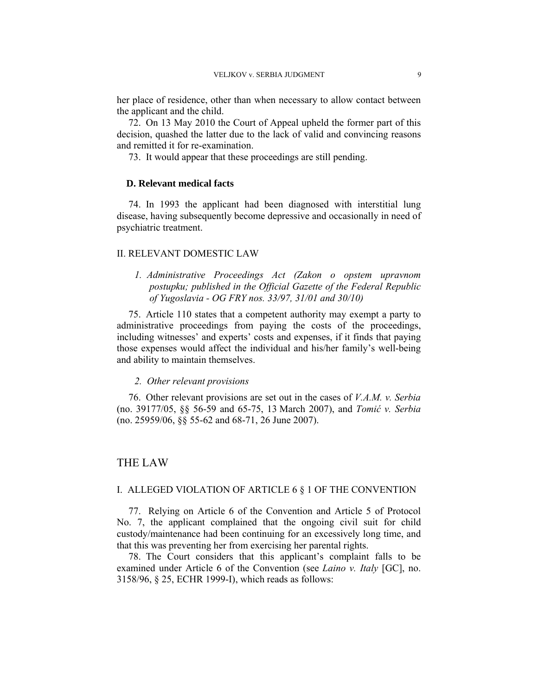her place of residence, other than when necessary to allow contact between the applicant and the child.

72. On 13 May 2010 the Court of Appeal upheld the former part of this decision, quashed the latter due to the lack of valid and convincing reasons and remitted it for re-examination.

73. It would appear that these proceedings are still pending.

## **D. Relevant medical facts**

74. In 1993 the applicant had been diagnosed with interstitial lung disease, having subsequently become depressive and occasionally in need of psychiatric treatment.

#### II. RELEVANT DOMESTIC LAW

*1. Administrative Proceedings Act (Zakon o opstem upravnom postupku; published in the Official Gazette of the Federal Republic of Yugoslavia - OG FRY nos. 33/97, 31/01 and 30/10)* 

75. Article 110 states that a competent authority may exempt a party to administrative proceedings from paying the costs of the proceedings, including witnesses' and experts' costs and expenses, if it finds that paying those expenses would affect the individual and his/her family's well-being and ability to maintain themselves.

#### *2. Other relevant provisions*

76. Other relevant provisions are set out in the cases of *V.A.M. v. Serbia* (no. 39177/05, §§ 56-59 and 65-75, 13 March 2007), and *Tomić v. Serbia* (no. 25959/06, §§ 55-62 and 68-71, 26 June 2007).

## THE LAW

#### I. ALLEGED VIOLATION OF ARTICLE 6 § 1 OF THE CONVENTION

77. Relying on Article 6 of the Convention and Article 5 of Protocol No. 7, the applicant complained that the ongoing civil suit for child custody/maintenance had been continuing for an excessively long time, and that this was preventing her from exercising her parental rights.

78. The Court considers that this applicant's complaint falls to be examined under Article 6 of the Convention (see *Laino v. Italy* [GC], no. 3158/96, § 25, ECHR 1999-I), which reads as follows: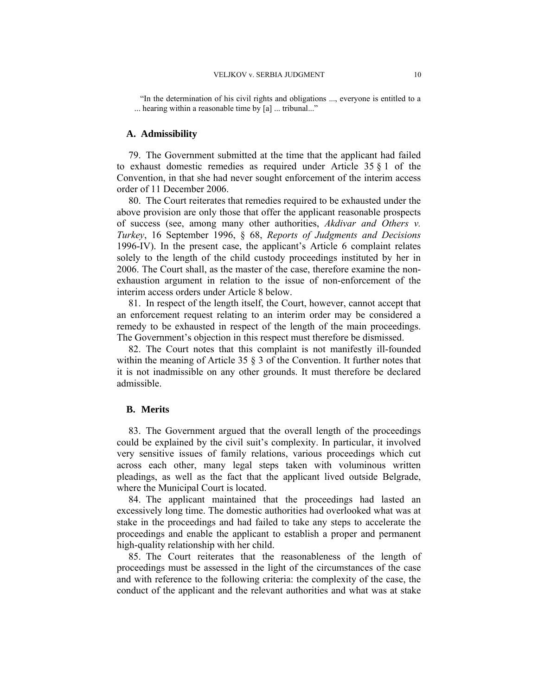"In the determination of his civil rights and obligations ..., everyone is entitled to a ... hearing within a reasonable time by [a] ... tribunal..."

#### **A. Admissibility**

79. The Government submitted at the time that the applicant had failed to exhaust domestic remedies as required under Article 35 § 1 of the Convention, in that she had never sought enforcement of the interim access order of 11 December 2006.

80. The Court reiterates that remedies required to be exhausted under the above provision are only those that offer the applicant reasonable prospects of success (see, among many other authorities, *Akdivar and Others v. Turkey*, 16 September 1996, § 68, *Reports of Judgments and Decisions* 1996-IV). In the present case, the applicant's Article 6 complaint relates solely to the length of the child custody proceedings instituted by her in 2006. The Court shall, as the master of the case, therefore examine the nonexhaustion argument in relation to the issue of non-enforcement of the interim access orders under Article 8 below.

81. In respect of the length itself, the Court, however, cannot accept that an enforcement request relating to an interim order may be considered a remedy to be exhausted in respect of the length of the main proceedings. The Government's objection in this respect must therefore be dismissed.

82. The Court notes that this complaint is not manifestly ill-founded within the meaning of Article 35  $\S$  3 of the Convention. It further notes that it is not inadmissible on any other grounds. It must therefore be declared admissible.

#### **B. Merits**

83. The Government argued that the overall length of the proceedings could be explained by the civil suit's complexity. In particular, it involved very sensitive issues of family relations, various proceedings which cut across each other, many legal steps taken with voluminous written pleadings, as well as the fact that the applicant lived outside Belgrade, where the Municipal Court is located.

84. The applicant maintained that the proceedings had lasted an excessively long time. The domestic authorities had overlooked what was at stake in the proceedings and had failed to take any steps to accelerate the proceedings and enable the applicant to establish a proper and permanent high-quality relationship with her child.

85. The Court reiterates that the reasonableness of the length of proceedings must be assessed in the light of the circumstances of the case and with reference to the following criteria: the complexity of the case, the conduct of the applicant and the relevant authorities and what was at stake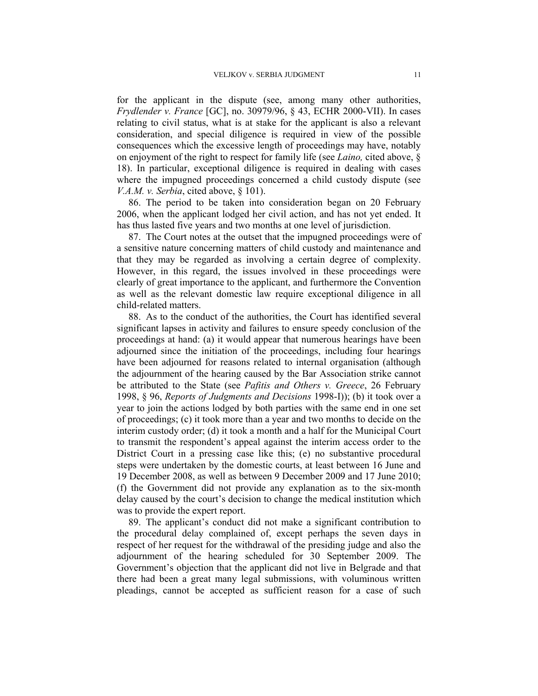for the applicant in the dispute (see, among many other authorities, *Frydlender v. France* [GC], no. 30979/96, § 43, ECHR 2000-VII). In cases relating to civil status, what is at stake for the applicant is also a relevant consideration, and special diligence is required in view of the possible consequences which the excessive length of proceedings may have, notably on enjoyment of the right to respect for family life (see *Laino,* cited above, § 18). In particular, exceptional diligence is required in dealing with cases where the impugned proceedings concerned a child custody dispute (see *V.A.M. v. Serbia*, cited above, § 101).

86. The period to be taken into consideration began on 20 February 2006, when the applicant lodged her civil action, and has not yet ended. It has thus lasted five years and two months at one level of jurisdiction.

87. The Court notes at the outset that the impugned proceedings were of a sensitive nature concerning matters of child custody and maintenance and that they may be regarded as involving a certain degree of complexity. However, in this regard, the issues involved in these proceedings were clearly of great importance to the applicant, and furthermore the Convention as well as the relevant domestic law require exceptional diligence in all child-related matters.

88. As to the conduct of the authorities, the Court has identified several significant lapses in activity and failures to ensure speedy conclusion of the proceedings at hand: (a) it would appear that numerous hearings have been adjourned since the initiation of the proceedings, including four hearings have been adjourned for reasons related to internal organisation (although the adjournment of the hearing caused by the Bar Association strike cannot be attributed to the State (see *Pafitis and Others v. Greece*, 26 February 1998, § 96, *Reports of Judgments and Decisions* 1998-I)); (b) it took over a year to join the actions lodged by both parties with the same end in one set of proceedings; (c) it took more than a year and two months to decide on the interim custody order; (d) it took a month and a half for the Municipal Court to transmit the respondent's appeal against the interim access order to the District Court in a pressing case like this; (e) no substantive procedural steps were undertaken by the domestic courts, at least between 16 June and 19 December 2008, as well as between 9 December 2009 and 17 June 2010; (f) the Government did not provide any explanation as to the six-month delay caused by the court's decision to change the medical institution which was to provide the expert report.

89. The applicant's conduct did not make a significant contribution to the procedural delay complained of, except perhaps the seven days in respect of her request for the withdrawal of the presiding judge and also the adjournment of the hearing scheduled for 30 September 2009. The Government's objection that the applicant did not live in Belgrade and that there had been a great many legal submissions, with voluminous written pleadings, cannot be accepted as sufficient reason for a case of such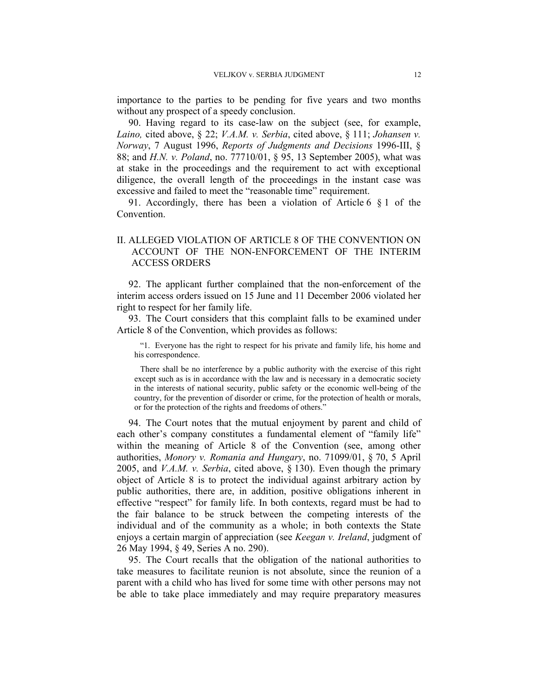importance to the parties to be pending for five years and two months without any prospect of a speedy conclusion.

90. Having regard to its case-law on the subject (see, for example, *Laino,* cited above, § 22; *V.A.M. v. Serbia*, cited above, § 111; *Johansen v. Norway*, 7 August 1996, *Reports of Judgments and Decisions* 1996-III, § 88; and *H.N. v. Poland*, no. 77710/01, § 95, 13 September 2005), what was at stake in the proceedings and the requirement to act with exceptional diligence, the overall length of the proceedings in the instant case was excessive and failed to meet the "reasonable time" requirement.

91. Accordingly, there has been a violation of Article 6 § 1 of the Convention.

## II. ALLEGED VIOLATION OF ARTICLE 8 OF THE CONVENTION ON ACCOUNT OF THE NON-ENFORCEMENT OF THE INTERIM ACCESS ORDERS

92. The applicant further complained that the non-enforcement of the interim access orders issued on 15 June and 11 December 2006 violated her right to respect for her family life.

93. The Court considers that this complaint falls to be examined under Article 8 of the Convention, which provides as follows:

"1. Everyone has the right to respect for his private and family life, his home and his correspondence.

There shall be no interference by a public authority with the exercise of this right except such as is in accordance with the law and is necessary in a democratic society in the interests of national security, public safety or the economic well-being of the country, for the prevention of disorder or crime, for the protection of health or morals, or for the protection of the rights and freedoms of others."

94. The Court notes that the mutual enjoyment by parent and child of each other's company constitutes a fundamental element of "family life" within the meaning of Article 8 of the Convention (see, among other authorities, *Monory v. Romania and Hungary*, no. 71099/01, § 70, 5 April 2005, and *V.A.M. v. Serbia*, cited above, § 130). Even though the primary object of Article 8 is to protect the individual against arbitrary action by public authorities, there are, in addition, positive obligations inherent in effective "respect" for family life. In both contexts, regard must be had to the fair balance to be struck between the competing interests of the individual and of the community as a whole; in both contexts the State enjoys a certain margin of appreciation (see *Keegan v. Ireland*, judgment of 26 May 1994, § 49, Series A no. 290).

95. The Court recalls that the obligation of the national authorities to take measures to facilitate reunion is not absolute, since the reunion of a parent with a child who has lived for some time with other persons may not be able to take place immediately and may require preparatory measures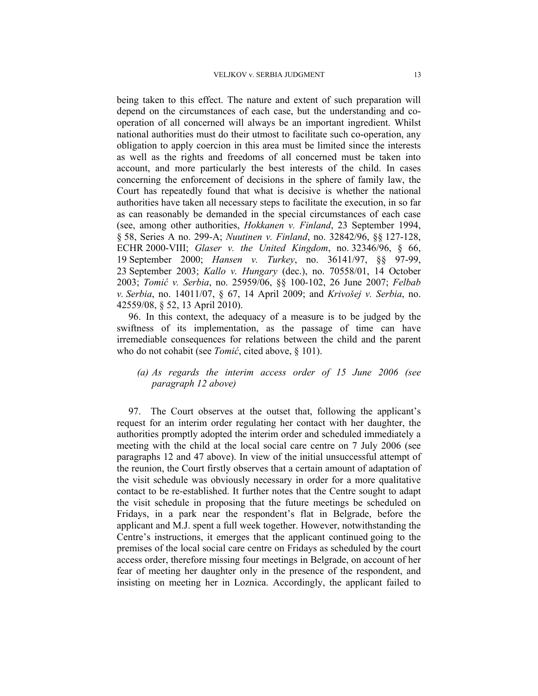being taken to this effect. The nature and extent of such preparation will depend on the circumstances of each case, but the understanding and cooperation of all concerned will always be an important ingredient. Whilst national authorities must do their utmost to facilitate such co-operation, any obligation to apply coercion in this area must be limited since the interests as well as the rights and freedoms of all concerned must be taken into account, and more particularly the best interests of the child. In cases concerning the enforcement of decisions in the sphere of family law, the Court has repeatedly found that what is decisive is whether the national authorities have taken all necessary steps to facilitate the execution, in so far as can reasonably be demanded in the special circumstances of each case (see, among other authorities, *Hokkanen v. Finland*, 23 September 1994, § 58, Series A no. 299-A; *Nuutinen v. Finland*, no. 32842/96, §§ 127-128, ECHR 2000-VIII; *Glaser v. the United Kingdom*, no. 32346/96, § 66, 19 September 2000; *Hansen v. Turkey*, no. 36141/97, §§ 97-99, 23 September 2003; *Kallo v. Hungary* (dec.), no. 70558/01, 14 October 2003; *Tomić v. Serbia*, no. 25959/06, §§ 100-102, 26 June 2007; *Felbab v. Serbia*, no. 14011/07, § 67, 14 April 2009; and *Krivošej v. Serbia*, no. 42559/08, § 52, 13 April 2010).

96. In this context, the adequacy of a measure is to be judged by the swiftness of its implementation, as the passage of time can have irremediable consequences for relations between the child and the parent who do not cohabit (see *Tomić*, cited above, § 101).

## *(a) As regards the interim access order of 15 June 2006 (see paragraph 12 above)*

97. The Court observes at the outset that, following the applicant's request for an interim order regulating her contact with her daughter, the authorities promptly adopted the interim order and scheduled immediately a meeting with the child at the local social care centre on 7 July 2006 (see paragraphs 12 and 47 above). In view of the initial unsuccessful attempt of the reunion, the Court firstly observes that a certain amount of adaptation of the visit schedule was obviously necessary in order for a more qualitative contact to be re-established. It further notes that the Centre sought to adapt the visit schedule in proposing that the future meetings be scheduled on Fridays, in a park near the respondent's flat in Belgrade, before the applicant and M.J. spent a full week together. However, notwithstanding the Centre's instructions, it emerges that the applicant continued going to the premises of the local social care centre on Fridays as scheduled by the court access order, therefore missing four meetings in Belgrade, on account of her fear of meeting her daughter only in the presence of the respondent, and insisting on meeting her in Loznica. Accordingly, the applicant failed to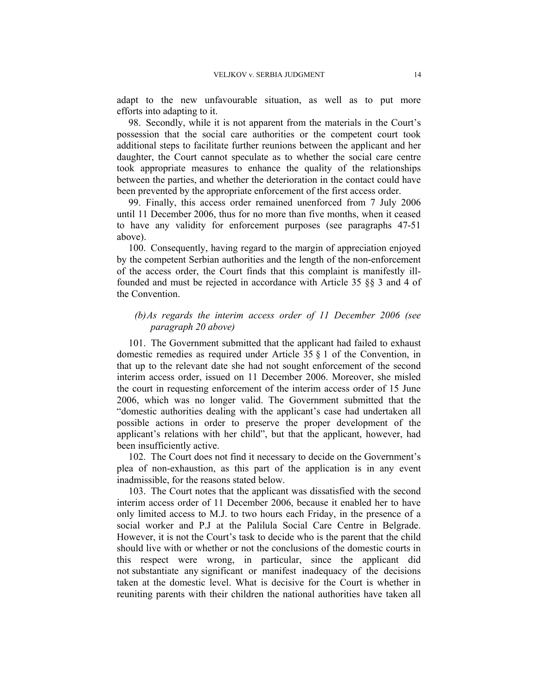adapt to the new unfavourable situation, as well as to put more efforts into adapting to it.

98. Secondly, while it is not apparent from the materials in the Court's possession that the social care authorities or the competent court took additional steps to facilitate further reunions between the applicant and her daughter, the Court cannot speculate as to whether the social care centre took appropriate measures to enhance the quality of the relationships between the parties, and whether the deterioration in the contact could have been prevented by the appropriate enforcement of the first access order.

99. Finally, this access order remained unenforced from 7 July 2006 until 11 December 2006, thus for no more than five months, when it ceased to have any validity for enforcement purposes (see paragraphs 47-51 above).

100. Consequently, having regard to the margin of appreciation enjoyed by the competent Serbian authorities and the length of the non-enforcement of the access order, the Court finds that this complaint is manifestly illfounded and must be rejected in accordance with Article 35 §§ 3 and 4 of the Convention.

## *(b)As regards the interim access order of 11 December 2006 (see paragraph 20 above)*

101. The Government submitted that the applicant had failed to exhaust domestic remedies as required under Article 35 § 1 of the Convention, in that up to the relevant date she had not sought enforcement of the second interim access order, issued on 11 December 2006. Moreover, she misled the court in requesting enforcement of the interim access order of 15 June 2006, which was no longer valid. The Government submitted that the "domestic authorities dealing with the applicant's case had undertaken all possible actions in order to preserve the proper development of the applicant's relations with her child", but that the applicant, however, had been insufficiently active.

102. The Court does not find it necessary to decide on the Government's plea of non-exhaustion, as this part of the application is in any event inadmissible, for the reasons stated below.

103. The Court notes that the applicant was dissatisfied with the second interim access order of 11 December 2006, because it enabled her to have only limited access to M.J. to two hours each Friday, in the presence of a social worker and P.J at the Palilula Social Care Centre in Belgrade. However, it is not the Court's task to decide who is the parent that the child should live with or whether or not the conclusions of the domestic courts in this respect were wrong, in particular, since the applicant did not substantiate any significant or manifest inadequacy of the decisions taken at the domestic level. What is decisive for the Court is whether in reuniting parents with their children the national authorities have taken all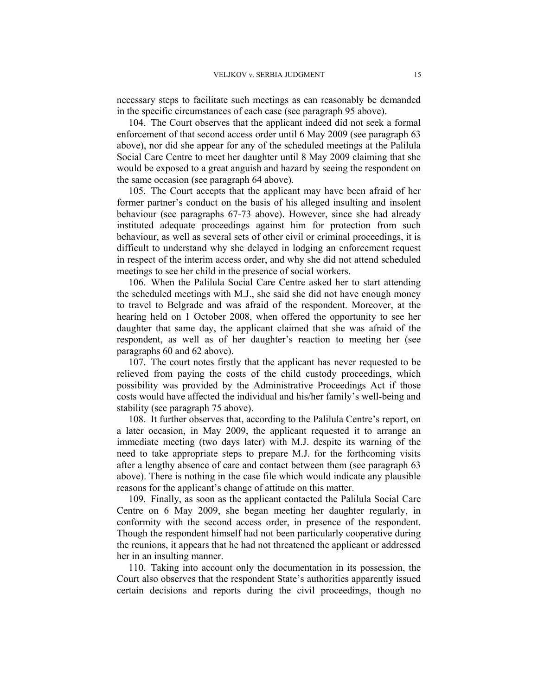necessary steps to facilitate such meetings as can reasonably be demanded in the specific circumstances of each case (see paragraph 95 above).

104. The Court observes that the applicant indeed did not seek a formal enforcement of that second access order until 6 May 2009 (see paragraph 63 above), nor did she appear for any of the scheduled meetings at the Palilula Social Care Centre to meet her daughter until 8 May 2009 claiming that she would be exposed to a great anguish and hazard by seeing the respondent on the same occasion (see paragraph 64 above).

105. The Court accepts that the applicant may have been afraid of her former partner's conduct on the basis of his alleged insulting and insolent behaviour (see paragraphs 67-73 above). However, since she had already instituted adequate proceedings against him for protection from such behaviour, as well as several sets of other civil or criminal proceedings, it is difficult to understand why she delayed in lodging an enforcement request in respect of the interim access order, and why she did not attend scheduled meetings to see her child in the presence of social workers.

106. When the Palilula Social Care Centre asked her to start attending the scheduled meetings with M.J., she said she did not have enough money to travel to Belgrade and was afraid of the respondent. Moreover, at the hearing held on 1 October 2008, when offered the opportunity to see her daughter that same day, the applicant claimed that she was afraid of the respondent, as well as of her daughter's reaction to meeting her (see paragraphs 60 and 62 above).

107. The court notes firstly that the applicant has never requested to be relieved from paying the costs of the child custody proceedings, which possibility was provided by the Administrative Proceedings Act if those costs would have affected the individual and his/her family's well-being and stability (see paragraph 75 above).

108. It further observes that, according to the Palilula Centre's report, on a later occasion, in May 2009, the applicant requested it to arrange an immediate meeting (two days later) with M.J. despite its warning of the need to take appropriate steps to prepare M.J. for the forthcoming visits after a lengthy absence of care and contact between them (see paragraph 63 above). There is nothing in the case file which would indicate any plausible reasons for the applicant's change of attitude on this matter.

109. Finally, as soon as the applicant contacted the Palilula Social Care Centre on 6 May 2009, she began meeting her daughter regularly, in conformity with the second access order, in presence of the respondent. Though the respondent himself had not been particularly cooperative during the reunions, it appears that he had not threatened the applicant or addressed her in an insulting manner.

110. Taking into account only the documentation in its possession, the Court also observes that the respondent State's authorities apparently issued certain decisions and reports during the civil proceedings, though no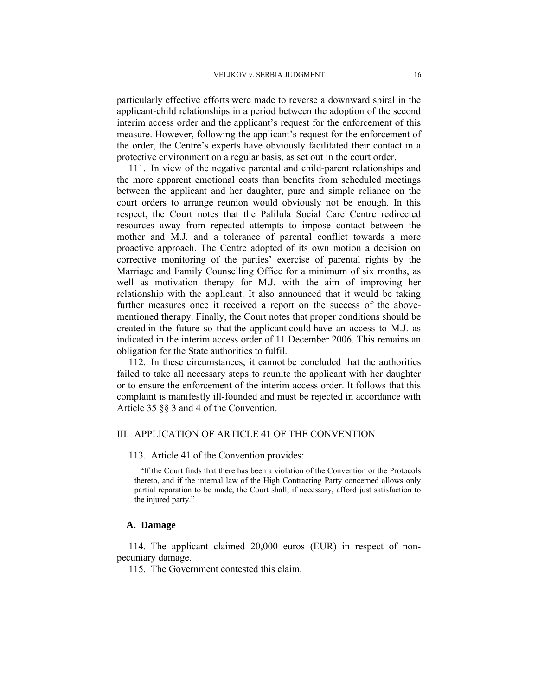particularly effective efforts were made to reverse a downward spiral in the applicant-child relationships in a period between the adoption of the second interim access order and the applicant's request for the enforcement of this measure. However, following the applicant's request for the enforcement of the order, the Centre's experts have obviously facilitated their contact in a protective environment on a regular basis, as set out in the court order.

111. In view of the negative parental and child-parent relationships and the more apparent emotional costs than benefits from scheduled meetings between the applicant and her daughter, pure and simple reliance on the court orders to arrange reunion would obviously not be enough. In this respect, the Court notes that the Palilula Social Care Centre redirected resources away from repeated attempts to impose contact between the mother and M.J. and a tolerance of parental conflict towards a more proactive approach. The Centre adopted of its own motion a decision on corrective monitoring of the parties' exercise of parental rights by the Marriage and Family Counselling Office for a minimum of six months, as well as motivation therapy for M.J. with the aim of improving her relationship with the applicant. It also announced that it would be taking further measures once it received a report on the success of the abovementioned therapy. Finally, the Court notes that proper conditions should be created in the future so that the applicant could have an access to M.J. as indicated in the interim access order of 11 December 2006. This remains an obligation for the State authorities to fulfil.

112. In these circumstances, it cannot be concluded that the authorities failed to take all necessary steps to reunite the applicant with her daughter or to ensure the enforcement of the interim access order. It follows that this complaint is manifestly ill-founded and must be rejected in accordance with Article 35 §§ 3 and 4 of the Convention.

## III. APPLICATION OF ARTICLE 41 OF THE CONVENTION

#### 113. Article 41 of the Convention provides:

"If the Court finds that there has been a violation of the Convention or the Protocols thereto, and if the internal law of the High Contracting Party concerned allows only partial reparation to be made, the Court shall, if necessary, afford just satisfaction to the injured party."

#### **A. Damage**

114. The applicant claimed 20,000 euros (EUR) in respect of nonpecuniary damage.

115. The Government contested this claim.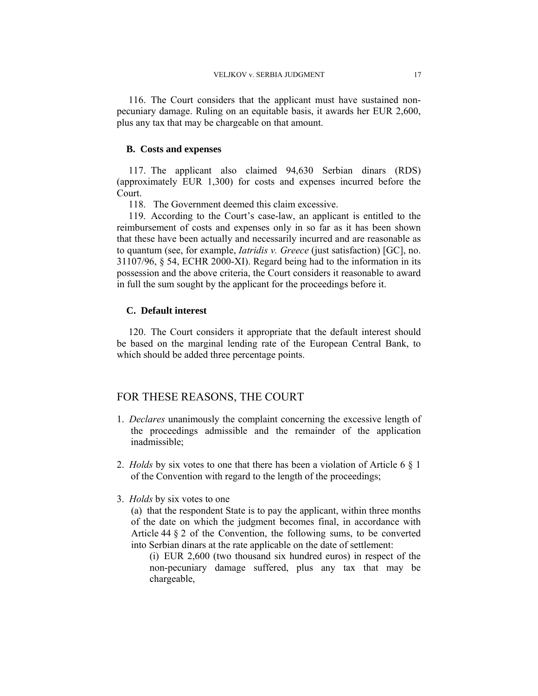116. The Court considers that the applicant must have sustained nonpecuniary damage. Ruling on an equitable basis, it awards her EUR 2,600, plus any tax that may be chargeable on that amount.

#### **B. Costs and expenses**

117. The applicant also claimed 94,630 Serbian dinars (RDS) (approximately EUR 1,300) for costs and expenses incurred before the Court.

118. The Government deemed this claim excessive.

119. According to the Court's case-law, an applicant is entitled to the reimbursement of costs and expenses only in so far as it has been shown that these have been actually and necessarily incurred and are reasonable as to quantum (see, for example, *Iatridis v. Greece* (just satisfaction) [GC], no. 31107/96, § 54, ECHR 2000-XI). Regard being had to the information in its possession and the above criteria, the Court considers it reasonable to award in full the sum sought by the applicant for the proceedings before it.

#### **C. Default interest**

120. The Court considers it appropriate that the default interest should be based on the marginal lending rate of the European Central Bank, to which should be added three percentage points.

## FOR THESE REASONS, THE COURT

- 1. *Declares* unanimously the complaint concerning the excessive length of the proceedings admissible and the remainder of the application inadmissible;
- 2. *Holds* by six votes to one that there has been a violation of Article 6 § 1 of the Convention with regard to the length of the proceedings;
- 3. *Holds* by six votes to one

(a) that the respondent State is to pay the applicant, within three months of the date on which the judgment becomes final, in accordance with Article 44 § 2 of the Convention, the following sums, to be converted into Serbian dinars at the rate applicable on the date of settlement:

(i) EUR 2,600 (two thousand six hundred euros) in respect of the non-pecuniary damage suffered, plus any tax that may be chargeable,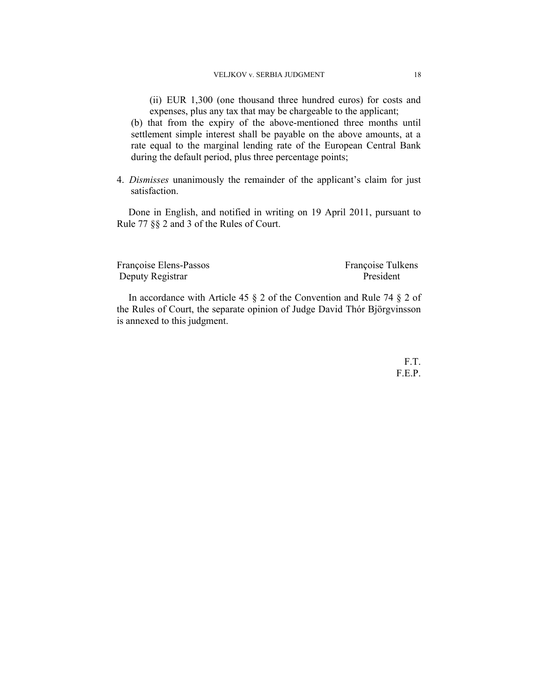(ii) EUR 1,300 (one thousand three hundred euros) for costs and expenses, plus any tax that may be chargeable to the applicant;

(b) that from the expiry of the above-mentioned three months until settlement simple interest shall be payable on the above amounts, at a rate equal to the marginal lending rate of the European Central Bank during the default period, plus three percentage points;

4. *Dismisses* unanimously the remainder of the applicant's claim for just satisfaction.

Done in English, and notified in writing on 19 April 2011, pursuant to Rule 77 §§ 2 and 3 of the Rules of Court.

Françoise Elens-Passos<br>
Deputy Registrar<br>
President<br>
President Deputy Registrar

In accordance with Article 45 § 2 of the Convention and Rule 74 § 2 of the Rules of Court, the separate opinion of Judge David Thór Björgvinsson is annexed to this judgment.

> F.T. F.E.P.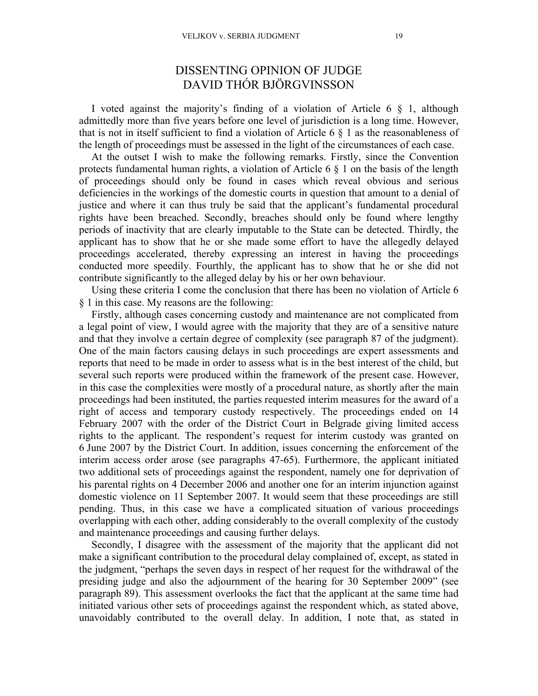# DISSENTING OPINION OF JUDGE DAVID THÓR BJÖRGVINSSON

I voted against the majority's finding of a violation of Article 6 § 1, although admittedly more than five years before one level of jurisdiction is a long time. However, that is not in itself sufficient to find a violation of Article 6  $\S$  1 as the reasonableness of the length of proceedings must be assessed in the light of the circumstances of each case.

At the outset I wish to make the following remarks. Firstly, since the Convention protects fundamental human rights, a violation of Article 6 § 1 on the basis of the length of proceedings should only be found in cases which reveal obvious and serious deficiencies in the workings of the domestic courts in question that amount to a denial of justice and where it can thus truly be said that the applicant's fundamental procedural rights have been breached. Secondly, breaches should only be found where lengthy periods of inactivity that are clearly imputable to the State can be detected. Thirdly, the applicant has to show that he or she made some effort to have the allegedly delayed proceedings accelerated, thereby expressing an interest in having the proceedings conducted more speedily. Fourthly, the applicant has to show that he or she did not contribute significantly to the alleged delay by his or her own behaviour.

Using these criteria I come the conclusion that there has been no violation of Article 6 § 1 in this case. My reasons are the following:

Firstly, although cases concerning custody and maintenance are not complicated from a legal point of view, I would agree with the majority that they are of a sensitive nature and that they involve a certain degree of complexity (see paragraph 87 of the judgment). One of the main factors causing delays in such proceedings are expert assessments and reports that need to be made in order to assess what is in the best interest of the child, but several such reports were produced within the framework of the present case. However, in this case the complexities were mostly of a procedural nature, as shortly after the main proceedings had been instituted, the parties requested interim measures for the award of a right of access and temporary custody respectively. The proceedings ended on 14 February 2007 with the order of the District Court in Belgrade giving limited access rights to the applicant. The respondent's request for interim custody was granted on 6 June 2007 by the District Court. In addition, issues concerning the enforcement of the interim access order arose (see paragraphs 47-65). Furthermore, the applicant initiated two additional sets of proceedings against the respondent, namely one for deprivation of his parental rights on 4 December 2006 and another one for an interim injunction against domestic violence on 11 September 2007. It would seem that these proceedings are still pending. Thus, in this case we have a complicated situation of various proceedings overlapping with each other, adding considerably to the overall complexity of the custody and maintenance proceedings and causing further delays.

Secondly, I disagree with the assessment of the majority that the applicant did not make a significant contribution to the procedural delay complained of, except, as stated in the judgment, "perhaps the seven days in respect of her request for the withdrawal of the presiding judge and also the adjournment of the hearing for 30 September 2009" (see paragraph 89). This assessment overlooks the fact that the applicant at the same time had initiated various other sets of proceedings against the respondent which, as stated above, unavoidably contributed to the overall delay. In addition, I note that, as stated in